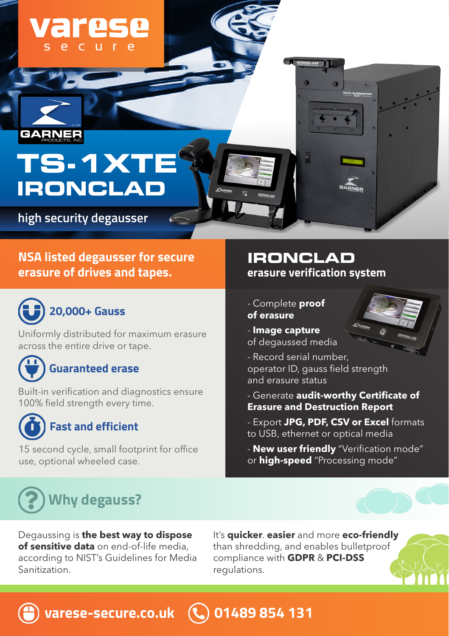# **TS-1XTE IRONCLAD**

varese

**high security degausser**

#### **NSA listed degausser for secure erasure of drives and tapes.**



**GARNE** 

Uniformly distributed for maximum erasure across the entire drive or tape.

# **Guaranteed erase**

ľ Built-in verification and diagnostics ensure 100% field strength every time.



#### **Fast and efficient**

15 second cycle, small footprint for office use, optional wheeled case.

#### **erasure verification system IRONCLAD**

- Complete **proof**
- **of erasure**
- **Image capture** of degaussed media
- Record serial number, operator ID, gauss field strength and erasure status
- Generate **audit-worthy Certificate of Erasure and Destruction Report**
- Export **JPG, PDF, CSV or Excel** formats to USB, ethernet or optical media
- **New user friendly** "Verification mode" or **high-speed** "Processing mode"



Degaussing is **the best way to dispose of sensitive data** on end-of-life media, according to NIST's Guidelines for Media Sanitization.

**varese-secure.co.uk 01489 854 131**

It's **quicker**. **easier** and more **eco-friendly** than shredding, and enables bulletproof compliance with **GDPR** & **PCI-DSS**  regulations.